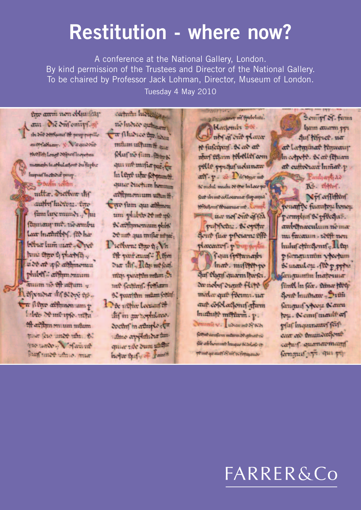# **Restitution - where now?**

A conference at the National Gallery, London. By kind permission of the Trustees and Director of the National Gallery. To be chaired by Professor Jack Lohman, Director, Museum of London. Tuesday 4 May 2010

the arm non objustay aut die dufominf.gi the Sire Sevelponist off parap-papelle autrialiany. V. Vaquiosie Wellift Lough Stipserfinowhen manads in abbalactont on furba-Impurilhediour prop.  $\mathcal{D}$  badm tenden.

mitter. Diethor inf authy hidron. the fum lux munds ftmany mt. neambu Law Institutions, (20 has bebar lum surt . One fune three thanks .. u de ae qui achimentu phiber affim mum auum no eft uttum hefyndia it feldin ep-En filmo affirmontum p fabeto Mantapfo. utha aft arftim muum müum paier feue amos uhr. 80 me nade. Vofairne from time with it. mar

carterin havenly and ne hierce quinquin Car film co the bree mtum uitumt . Mufnefum.@mx qui me mifia pai fu In lere uhr fehmant. quier duchum hommas arfimonium usuntiar fum qui athmen we me of this me Nathfmenum phin d'une qui inific usui. Dieffern: the fig. Vit Of warrant Rom Dia this, Day me feat. men parapim mium ... int feitheif. folfiam 6. pour the man fortin Det ufthe Leenanfelt dif in an replatant. doctor in attache efter Ame applificher finiquia rae bum unant hope thefy of young

Hacjonski Ste abrar one plane te fuscional. ex and are nfor telam Hotler com pelle pyntufudunan atif.p. & Daftiga me & mehit michi of the Informat feur ibiner collocarina fur aqua Niviland Charmer mt. Compe and mer nef out of fea publiche. Sopthe Sout face processes effe placeasterf. p way depen Cour fretanado Inat. mifthin Auf charf quarm harfer. du nobif dunne flete malar quit filemissium auf cofolacjonif afam huthit? mittem. p. **Commie v.** about of Second ferfur arufan miteru or ginar ne pår ab homme Ingue is odofo er Wind grauf of nif exformance

sance m featchm.

Semin Sf. farm ham awam pp. Auf fifrict. ua at latashat thanaus In certiff. N'air Phiam at cuftwaar Inmat.p

Paulpertias

RS. elter. Nyforfiften whatfly furniture honou parmylun & pffedus. awbstnaeulum no ma mu favaum - 2007 non huluf chingenif. Il fq: p fornaturatin vicerum Simmler . for prime fangumin Inaforma füntl In feir, timer filler Sout Inuthan , Sith fanguaf v Kou Nauru bu. Nemfmailt of pfuf Inquinants feif cant on Amunduefont caring quancomany fammus apr. qui po-

# FARRER&Co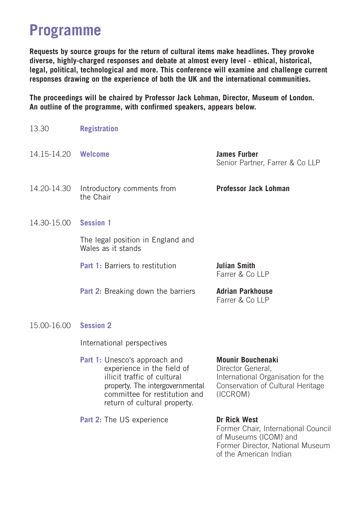#### **Programme**

**Requests by source groups for the return of cultural items make headlines. They provoke diverse, highly-charged responses and debate at almost every level - ethical, historical, legal, political, technological and more. This conference will examine and challenge current responses drawing on the experience of both the UK and the international communities.**

**The proceedings will be chaired by Professor Jack Lohman, Director, Museum of London. An outline of the programme, with confirmed speakers, appears below.**

| 13.30               | <b>Registration</b>                                                                                                                                                                            |                                                                                                                                      |
|---------------------|------------------------------------------------------------------------------------------------------------------------------------------------------------------------------------------------|--------------------------------------------------------------------------------------------------------------------------------------|
| 14.15-14.20 Welcome |                                                                                                                                                                                                | <b>James Furber</b><br>Senior Partner, Farrer & Co LLP                                                                               |
| 14.20-14.30         | Introductory comments from<br>the Chair                                                                                                                                                        | Professor Jack Lohman                                                                                                                |
| 14.30-15.00         | <b>Session 1</b>                                                                                                                                                                               |                                                                                                                                      |
|                     | The legal position in England and<br>Wales as it stands                                                                                                                                        |                                                                                                                                      |
|                     | Part 1: Barriers to restitution                                                                                                                                                                | Julian Smith<br>Farrer & Co LLP                                                                                                      |
|                     | <b>Part 2:</b> Breaking down the barriers                                                                                                                                                      | <b>Adrian Parkhouse</b><br>Farrer & Co LLP                                                                                           |
| 15.00-16.00         | <b>Session 2</b>                                                                                                                                                                               |                                                                                                                                      |
|                     | International perspectives                                                                                                                                                                     |                                                                                                                                      |
|                     | Part 1: Unesco's approach and<br>experience in the field of<br>illicit traffic of cultural<br>property. The intergovernmental<br>committee for restitution and<br>return of cultural property. | <b>Mounir Bouchenaki</b><br>Director General.<br>International Organisation for the<br>Conservation of Cultural Heritage<br>(ICCROM) |
|                     | <b>Part 2:</b> The US experience                                                                                                                                                               | Dr Rick West<br>Former Chair, International Council<br>of Mucqume (ICOM) and                                                         |

of Museums (ICOM) and Former Director, National Museum of the American Indian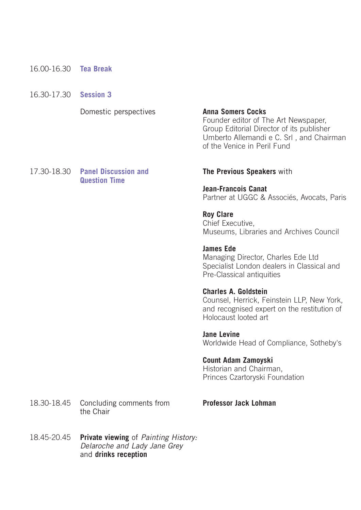- 16.00-16.30 **Tea Break**
- 16.30-17.30 **Session 3**

Domestic perspectives

**Anna Somers Cocks** Founder editor of The Art Newspaper, Group Editorial Director of its publisher Umberto Allemandi e C. Srl , and Chairman of the Venice in Peril Fund

17.30-18.30 **Panel Discussion and Question Time**

#### **The Previous Speakers** with

**Jean-Francois Canat**  Partner at UGGC & Associés, Avocats, Paris

**Roy Clare** Chief Executive, Museums, Libraries and Archives Council

**James Ede** Managing Director, Charles Ede Ltd Specialist London dealers in Classical and Pre-Classical antiquities

#### **Charles A. Goldstein**

Counsel, Herrick, Feinstein LLP, New York, and recognised expert on the restitution of Holocaust looted art

**Jane Levine** Worldwide Head of Compliance, Sotheby's

#### **Count Adam Zamoyski**

Historian and Chairman, Princes Czartoryski Foundation

18.30-18.45 Concluding comments from the Chair

**Professor Jack Lohman**

18.45-20.45 **Private viewing** of *Painting History:* Delaroche and Lady Jane Grey and **drinks reception**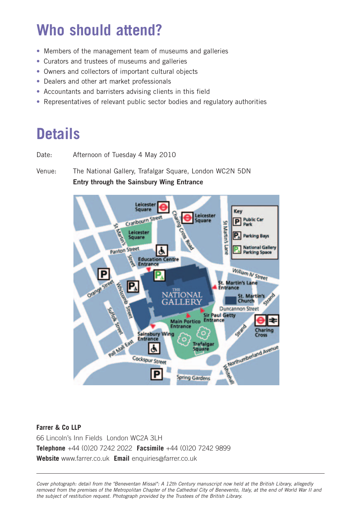## **Who should attend?**

- Members of the management team of museums and galleries
- Curators and trustees of museums and galleries
- Owners and collectors of important cultural objects
- Dealers and other art market professionals
- Accountants and barristers advising clients in this field
- Representatives of relevant public sector bodies and regulatory authorities

### **Details**

Date: Afternoon of Tuesday 4 May 2010

Venue: The National Gallery, Trafalgar Square, London WC2N 5DN **Entry through the Sainsbury Wing Entrance**



#### **Farrer & Co LLP**  66 Lincoln's Inn Fields London WC2A 3LH **Telephone** +44 (0)20 7242 2022 **Facsimile** +44 (0)20 7242 9899 **Website** www.farrer.co.uk **Email** enquiries@farrer.co.uk

Cover photograph: detail from the "Beneventan Missal": A 12th Century manuscript now held at the British Library, allegedly removed from the premises of the Metropolitan Chapter of the Cathedral City of Benevento, Italy, at the end of World War II and the subject of restitution request. Photograph provided by the Trustees of the British Library.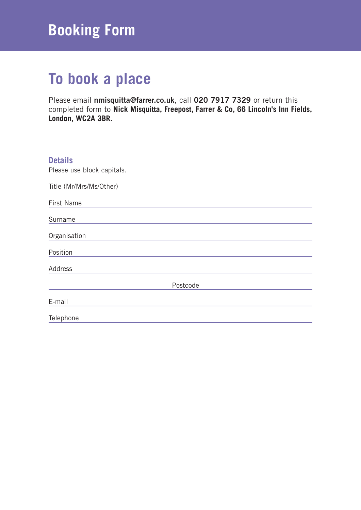## **Booking Form**

## **To book a place**

Please email **nmisquitta@farrer.co.uk**, call **020 7917 7329** or return this completed form to **Nick Misquitta, Freepost, Farrer & Co, 66 Lincoln's Inn Fields, London, WC2A 3BR.**

| <b>Details</b><br>Please use block capitals. |
|----------------------------------------------|
| Title (Mr/Mrs/Ms/Other)                      |
| First Name                                   |
| Surname                                      |
| Organisation                                 |
| Position                                     |
| Address                                      |
| Postcode                                     |
| E-mail                                       |
| Telephone                                    |